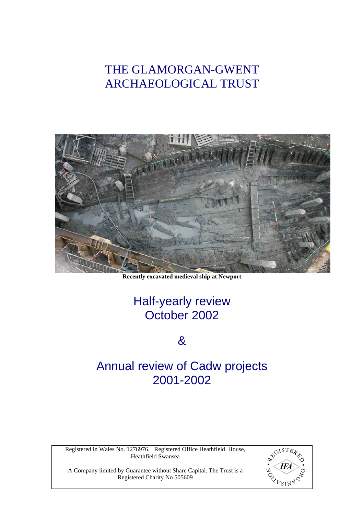# THE GLAMORGAN-GWENT ARCHAEOLOGICAL TRUST



**Recently excavated medieval ship at Newport** 

# Half-yearly review October 2002

# &

# Annual review of Cadw projects 2001-2002

Registered in Wales No. 1276976. Registered Office Heathfield House, Heathfield Swansea



A Company limited by Guarantee without Share Capital. The Trust is a Registered Charity No 505609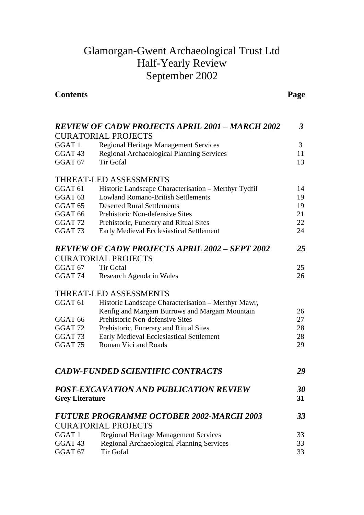# Glamorgan-Gwent Archaeological Trust Ltd Half-Yearly Review September 2002

# **Contents Page**

| <b>REVIEW OF CADW PROJECTS APRIL 2001 - MARCH 2002</b> |                                                       |    |  |
|--------------------------------------------------------|-------------------------------------------------------|----|--|
|                                                        | <b>CURATORIAL PROJECTS</b>                            |    |  |
| GGAT <sub>1</sub>                                      | <b>Regional Heritage Management Services</b>          | 3  |  |
| GGAT <sub>43</sub>                                     | Regional Archaeological Planning Services             | 11 |  |
| GGAT <sub>67</sub>                                     | <b>Tir Gofal</b>                                      | 13 |  |
|                                                        | <b>THREAT-LED ASSESSMENTS</b>                         |    |  |
| GGAT <sub>61</sub>                                     | Historic Landscape Characterisation - Merthyr Tydfil  | 14 |  |
| GGAT <sub>63</sub>                                     | <b>Lowland Romano-British Settlements</b>             | 19 |  |
| GGAT <sub>65</sub>                                     | <b>Deserted Rural Settlements</b>                     | 19 |  |
| GGAT <sub>66</sub>                                     | Prehistoric Non-defensive Sites                       | 21 |  |
| GGAT <sub>72</sub>                                     | Prehistoric, Funerary and Ritual Sites                | 22 |  |
| GGAT <sub>73</sub>                                     | <b>Early Medieval Ecclesiastical Settlement</b>       | 24 |  |
|                                                        | <b>REVIEW OF CADW PROJECTS APRIL 2002 - SEPT 2002</b> | 25 |  |
|                                                        | <b>CURATORIAL PROJECTS</b>                            |    |  |
| GGAT <sub>67</sub>                                     | <b>Tir Gofal</b>                                      | 25 |  |
| GGAT <sub>74</sub>                                     | Research Agenda in Wales                              | 26 |  |
|                                                        | <b>THREAT-LED ASSESSMENTS</b>                         |    |  |
| GGAT <sub>61</sub>                                     | Historic Landscape Characterisation - Merthyr Mawr,   |    |  |
|                                                        | Kenfig and Margam Burrows and Margam Mountain         | 26 |  |
| GGAT <sub>66</sub>                                     | Prehistoric Non-defensive Sites                       | 27 |  |
| GGAT <sub>72</sub>                                     | Prehistoric, Funerary and Ritual Sites                | 28 |  |
| GGAT <sub>73</sub>                                     | <b>Early Medieval Ecclesiastical Settlement</b>       | 28 |  |
| GGAT <sub>75</sub>                                     | Roman Vici and Roads                                  | 29 |  |
|                                                        | <b>CADW-FUNDED SCIENTIFIC CONTRACTS</b>               | 29 |  |
|                                                        | POST-EXCAVATION AND PUBLICATION REVIEW                | 30 |  |
| <b>Grey Literature</b>                                 |                                                       | 31 |  |
|                                                        | <b>FUTURE PROGRAMME OCTOBER 2002-MARCH 2003</b>       | 33 |  |
|                                                        | <b>CURATORIAL PROJECTS</b>                            |    |  |
| GGAT 1                                                 | <b>Regional Heritage Management Services</b>          | 33 |  |
| GGAT <sub>43</sub>                                     | Regional Archaeological Planning Services             | 33 |  |
| GGAT <sub>67</sub>                                     | <b>Tir Gofal</b>                                      | 33 |  |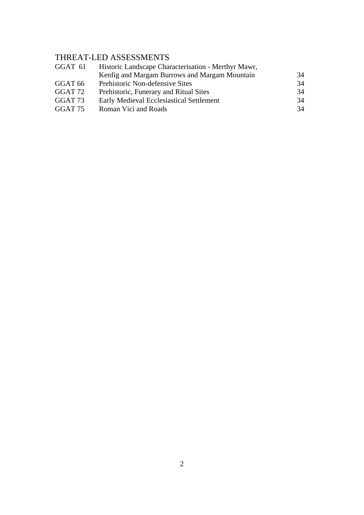# THREAT-LED ASSESSMENTS

| Historic Landscape Characterisation - Merthyr Mawr,<br>GGAT 61 |    |  |  |
|----------------------------------------------------------------|----|--|--|
| Kenfig and Margam Burrows and Margam Mountain                  | 34 |  |  |
| Prehistoric Non-defensive Sites<br>GGAT 66                     | 34 |  |  |
| GGAT 72<br>Prehistoric, Funerary and Ritual Sites              | 34 |  |  |
| GGAT 73<br><b>Early Medieval Ecclesiastical Settlement</b>     | 34 |  |  |
| GGAT 75<br>Roman Vici and Roads                                | 34 |  |  |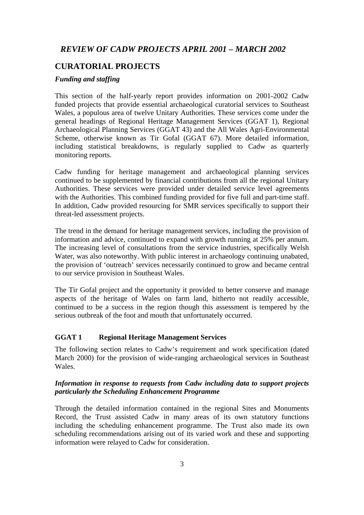## *REVIEW OF CADW PROJECTS APRIL 2001 – MARCH 2002*

## **CURATORIAL PROJECTS**

#### *Funding and staffing*

This section of the half-yearly report provides information on 2001-2002 Cadw funded projects that provide essential archaeological curatorial services to Southeast Wales, a populous area of twelve Unitary Authorities. These services come under the general headings of Regional Heritage Management Services (GGAT 1), Regional Archaeological Planning Services (GGAT 43) and the All Wales Agri-Environmental Scheme, otherwise known as Tir Gofal (GGAT 67). More detailed information, including statistical breakdowns, is regularly supplied to Cadw as quarterly monitoring reports.

Cadw funding for heritage management and archaeological planning services continued to be supplemented by financial contributions from all the regional Unitary Authorities. These services were provided under detailed service level agreements with the Authorities. This combined funding provided for five full and part-time staff. In addition, Cadw provided resourcing for SMR services specifically to support their threat-led assessment projects.

The trend in the demand for heritage management services, including the provision of information and advice, continued to expand with growth running at 25% per annum. The increasing level of consultations from the service industries, specifically Welsh Water, was also noteworthy. With public interest in archaeology continuing unabated, the provision of 'outreach' services necessarily continued to grow and became central to our service provision in Southeast Wales.

The Tir Gofal project and the opportunity it provided to better conserve and manage aspects of the heritage of Wales on farm land, hitherto not readily accessible, continued to be a success in the region though this assessment is tempered by the serious outbreak of the foot and mouth that unfortunately occurred.

#### **GGAT 1 Regional Heritage Management Services**

The following section relates to Cadw's requirement and work specification (dated March 2000) for the provision of wide-ranging archaeological services in Southeast Wales.

#### *Information in response to requests from Cadw including data to support projects particularly the Scheduling Enhancement Programme*

Through the detailed information contained in the regional Sites and Monuments Record, the Trust assisted Cadw in many areas of its own statutory functions including the scheduling enhancement programme. The Trust also made its own scheduling recommendations arising out of its varied work and these and supporting information were relayed to Cadw for consideration.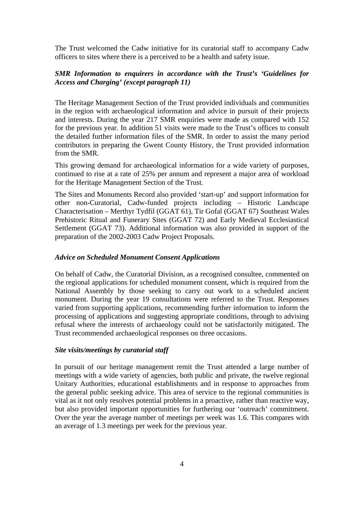The Trust welcomed the Cadw initiative for its curatorial staff to accompany Cadw officers to sites where there is a perceived to be a health and safety issue.

## *SMR Information to enquirers in accordance with the Trust's 'Guidelines for Access and Charging' (except paragraph 11)*

The Heritage Management Section of the Trust provided individuals and communities in the region with archaeological information and advice in pursuit of their projects and interests. During the year 217 SMR enquiries were made as compared with 152 for the previous year. In addition 51 visits were made to the Trust's offices to consult the detailed further information files of the SMR. In order to assist the many period contributors in preparing the Gwent County History, the Trust provided information from the SMR.

This growing demand for archaeological information for a wide variety of purposes, continued to rise at a rate of 25% per annum and represent a major area of workload for the Heritage Management Section of the Trust.

The Sites and Monuments Record also provided 'start-up' and support information for other non-Curatorial, Cadw-funded projects including – Historic Landscape Characterisation – Merthyr Tydfil (GGAT 61), Tir Gofal (GGAT 67) Southeast Wales Prehistoric Ritual and Funerary Sites (GGAT 72) and Early Medieval Ecclesiastical Settlement (GGAT 73). Additional information was also provided in support of the preparation of the 2002-2003 Cadw Project Proposals.

#### *Advice on Scheduled Monument Consent Applications*

On behalf of Cadw, the Curatorial Division, as a recognised consultee, commented on the regional applications for scheduled monument consent, which is required from the National Assembly by those seeking to carry out work to a scheduled ancient monument. During the year 19 consultations were referred to the Trust. Responses varied from supporting applications, recommending further information to inform the processing of applications and suggesting appropriate conditions, through to advising refusal where the interests of archaeology could not be satisfactorily mitigated. The Trust recommended archaeological responses on three occasions.

#### *Site visits/meetings by curatorial staff*

In pursuit of our heritage management remit the Trust attended a large number of meetings with a wide variety of agencies, both public and private, the twelve regional Unitary Authorities, educational establishments and in response to approaches from the general public seeking advice. This area of service to the regional communities is vital as it not only resolves potential problems in a proactive, rather than reactive way, but also provided important opportunities for furthering our 'outreach' commitment. Over the year the average number of meetings per week was 1.6. This compares with an average of 1.3 meetings per week for the previous year.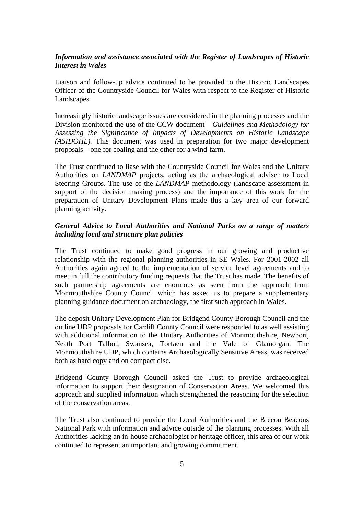## *Information and assistance associated with the Register of Landscapes of Historic Interest in Wales*

Liaison and follow-up advice continued to be provided to the Historic Landscapes Officer of the Countryside Council for Wales with respect to the Register of Historic Landscapes.

Increasingly historic landscape issues are considered in the planning processes and the Division monitored the use of the CCW document – *Guidelines and Methodology for Assessing the Significance of Impacts of Developments on Historic Landscape (ASIDOHL).* This document was used in preparation for two major development proposals – one for coaling and the other for a wind-farm.

The Trust continued to liase with the Countryside Council for Wales and the Unitary Authorities on *LANDMAP* projects, acting as the archaeological adviser to Local Steering Groups. The use of the *LANDMAP* methodology (landscape assessment in support of the decision making process) and the importance of this work for the preparation of Unitary Development Plans made this a key area of our forward planning activity.

## *General Advice to Local Authorities and National Parks on a range of matters including local and structure plan policies*

The Trust continued to make good progress in our growing and productive relationship with the regional planning authorities in SE Wales. For 2001-2002 all Authorities again agreed to the implementation of service level agreements and to meet in full the contributory funding requests that the Trust has made. The benefits of such partnership agreements are enormous as seen from the approach from Monmouthshire County Council which has asked us to prepare a supplementary planning guidance document on archaeology, the first such approach in Wales.

The deposit Unitary Development Plan for Bridgend County Borough Council and the outline UDP proposals for Cardiff County Council were responded to as well assisting with additional information to the Unitary Authorities of Monmouthshire, Newport, Neath Port Talbot, Swansea, Torfaen and the Vale of Glamorgan. The Monmouthshire UDP, which contains Archaeologically Sensitive Areas, was received both as hard copy and on compact disc.

Bridgend County Borough Council asked the Trust to provide archaeological information to support their designation of Conservation Areas. We welcomed this approach and supplied information which strengthened the reasoning for the selection of the conservation areas.

The Trust also continued to provide the Local Authorities and the Brecon Beacons National Park with information and advice outside of the planning processes. With all Authorities lacking an in-house archaeologist or heritage officer, this area of our work continued to represent an important and growing commitment.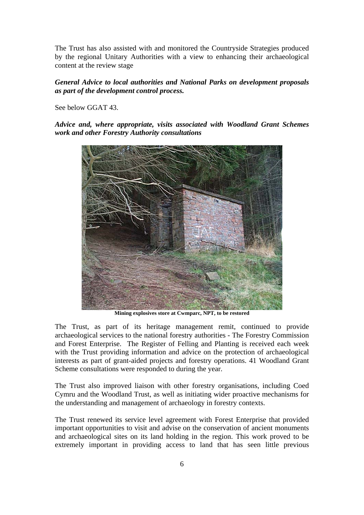The Trust has also assisted with and monitored the Countryside Strategies produced by the regional Unitary Authorities with a view to enhancing their archaeological content at the review stage

#### *General Advice to local authorities and National Parks on development proposals as part of the development control process.*

See below GGAT 43.

*Advice and, where appropriate, visits associated with Woodland Grant Schemes work and other Forestry Authority consultations* 



**Mining explosives store at Cwmparc, NPT, to be restored** 

The Trust, as part of its heritage management remit, continued to provide archaeological services to the national forestry authorities - The Forestry Commission and Forest Enterprise. The Register of Felling and Planting is received each week with the Trust providing information and advice on the protection of archaeological interests as part of grant-aided projects and forestry operations. 41 Woodland Grant Scheme consultations were responded to during the year.

The Trust also improved liaison with other forestry organisations, including Coed Cymru and the Woodland Trust, as well as initiating wider proactive mechanisms for the understanding and management of archaeology in forestry contexts.

The Trust renewed its service level agreement with Forest Enterprise that provided important opportunities to visit and advise on the conservation of ancient monuments and archaeological sites on its land holding in the region. This work proved to be extremely important in providing access to land that has seen little previous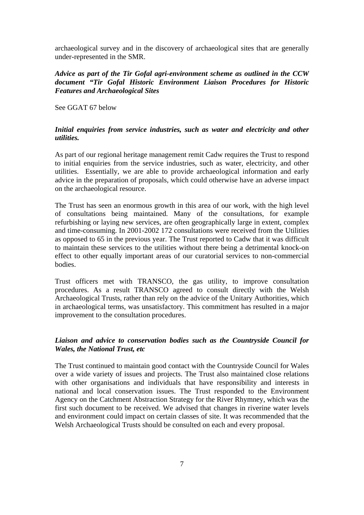archaeological survey and in the discovery of archaeological sites that are generally under-represented in the SMR.

## *Advice as part of the Tir Gofal agri-environment scheme as outlined in the CCW document "Tir Gofal Historic Environment Liaison Procedures for Historic Features and Archaeological Sites*

See GGAT 67 below

#### *Initial enquiries from service industries, such as water and electricity and other utilities.*

As part of our regional heritage management remit Cadw requires the Trust to respond to initial enquiries from the service industries, such as water, electricity, and other utilities. Essentially, we are able to provide archaeological information and early advice in the preparation of proposals, which could otherwise have an adverse impact on the archaeological resource.

The Trust has seen an enormous growth in this area of our work, with the high level of consultations being maintained. Many of the consultations, for example refurbishing or laying new services, are often geographically large in extent, complex and time-consuming. In 2001-2002 172 consultations were received from the Utilities as opposed to 65 in the previous year. The Trust reported to Cadw that it was difficult to maintain these services to the utilities without there being a detrimental knock-on effect to other equally important areas of our curatorial services to non-commercial bodies.

Trust officers met with TRANSCO, the gas utility, to improve consultation procedures. As a result TRANSCO agreed to consult directly with the Welsh Archaeological Trusts, rather than rely on the advice of the Unitary Authorities, which in archaeological terms, was unsatisfactory. This commitment has resulted in a major improvement to the consultation procedures.

## *Liaison and advice to conservation bodies such as the Countryside Council for Wales, the National Trust, etc*

The Trust continued to maintain good contact with the Countryside Council for Wales over a wide variety of issues and projects. The Trust also maintained close relations with other organisations and individuals that have responsibility and interests in national and local conservation issues. The Trust responded to the Environment Agency on the Catchment Abstraction Strategy for the River Rhymney, which was the first such document to be received. We advised that changes in riverine water levels and environment could impact on certain classes of site. It was recommended that the Welsh Archaeological Trusts should be consulted on each and every proposal.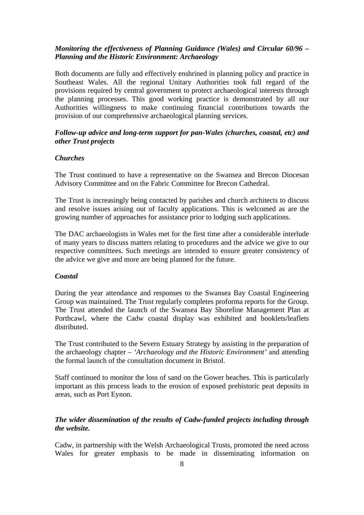## *Monitoring the effectiveness of Planning Guidance (Wales) and Circular 60/96 – Planning and the Historic Environment: Archaeology*

Both documents are fully and effectively enshrined in planning policy and practice in Southeast Wales. All the regional Unitary Authorities took full regard of the provisions required by central government to protect archaeological interests through the planning processes. This good working practice is demonstrated by all our Authorities willingness to make continuing financial contributions towards the provision of our comprehensive archaeological planning services.

#### *Follow-up advice and long-term support for pan-Wales (churches, coastal, etc) and other Trust projects*

#### *Churches*

The Trust continued to have a representative on the Swansea and Brecon Diocesan Advisory Committee and on the Fabric Committee for Brecon Cathedral.

The Trust is increasingly being contacted by parishes and church architects to discuss and resolve issues arising out of faculty applications. This is welcomed as are the growing number of approaches for assistance prior to lodging such applications.

The DAC archaeologists in Wales met for the first time after a considerable interlude of many years to discuss matters relating to procedures and the advice we give to our respective committees. Such meetings are intended to ensure greater consistency of the advice we give and more are being planned for the future.

#### *Coastal*

During the year attendance and responses to the Swansea Bay Coastal Engineering Group was maintained. The Trust regularly completes proforma reports for the Group. The Trust attended the launch of the Swansea Bay Shoreline Management Plan at Porthcawl, where the Cadw coastal display was exhibited and booklets/leaflets distributed.

The Trust contributed to the Severn Estuary Strategy by assisting in the preparation of the archaeology chapter – *'Archaeology and the Historic Environment'* and attending the formal launch of the consultation document in Bristol.

Staff continued to monitor the loss of sand on the Gower beaches. This is particularly important as this process leads to the erosion of exposed prehistoric peat deposits in areas, such as Port Eynon.

## *The wider dissemination of the results of Cadw-funded projects including through the website.*

Cadw, in partnership with the Welsh Archaeological Trusts, promoted the need across Wales for greater emphasis to be made in disseminating information on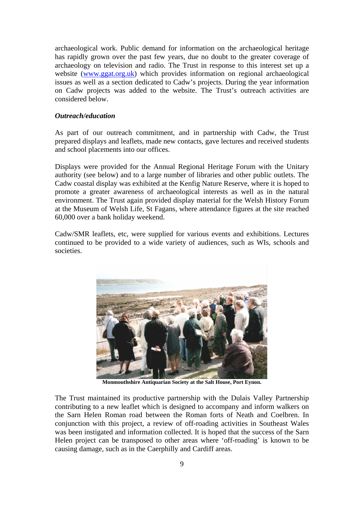archaeological work. Public demand for information on the archaeological heritage has rapidly grown over the past few years, due no doubt to the greater coverage of archaeology on television and radio. The Trust in response to this interest set up a website [\(www.ggat.org.uk\)](http://www.ggat.org.uk/) which provides information on regional archaeological issues as well as a section dedicated to Cadw's projects. During the year information on Cadw projects was added to the website. The Trust's outreach activities are considered below.

#### *Outreach/education*

As part of our outreach commitment, and in partnership with Cadw, the Trust prepared displays and leaflets, made new contacts, gave lectures and received students and school placements into our offices.

Displays were provided for the Annual Regional Heritage Forum with the Unitary authority (see below) and to a large number of libraries and other public outlets. The Cadw coastal display was exhibited at the Kenfig Nature Reserve, where it is hoped to promote a greater awareness of archaeological interests as well as in the natural environment. The Trust again provided display material for the Welsh History Forum at the Museum of Welsh Life, St Fagans, where attendance figures at the site reached 60,000 over a bank holiday weekend.

Cadw/SMR leaflets, etc, were supplied for various events and exhibitions. Lectures continued to be provided to a wide variety of audiences, such as WIs, schools and societies.



**Monmouthshire Antiquarian Society at the Salt House, Port Eynon.** 

The Trust maintained its productive partnership with the Dulais Valley Partnership contributing to a new leaflet which is designed to accompany and inform walkers on the Sarn Helen Roman road between the Roman forts of Neath and Coelbren. In conjunction with this project, a review of off-roading activities in Southeast Wales was been instigated and information collected. It is hoped that the success of the Sarn Helen project can be transposed to other areas where 'off-roading' is known to be causing damage, such as in the Caerphilly and Cardiff areas.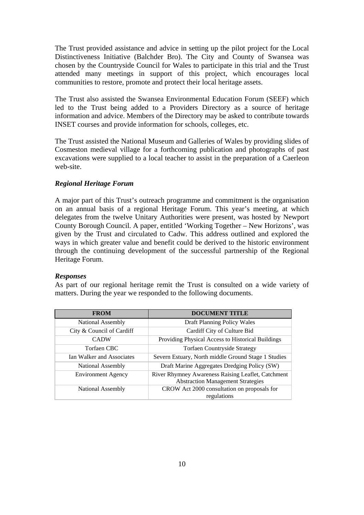The Trust provided assistance and advice in setting up the pilot project for the Local Distinctiveness Initiative (Balchder Bro). The City and County of Swansea was chosen by the Countryside Council for Wales to participate in this trial and the Trust attended many meetings in support of this project, which encourages local communities to restore, promote and protect their local heritage assets.

The Trust also assisted the Swansea Environmental Education Forum (SEEF) which led to the Trust being added to a Providers Directory as a source of heritage information and advice. Members of the Directory may be asked to contribute towards INSET courses and provide information for schools, colleges, etc.

The Trust assisted the National Museum and Galleries of Wales by providing slides of Cosmeston medieval village for a forthcoming publication and photographs of past excavations were supplied to a local teacher to assist in the preparation of a Caerleon web-site.

#### *Regional Heritage Forum*

A major part of this Trust's outreach programme and commitment is the organisation on an annual basis of a regional Heritage Forum. This year's meeting, at which delegates from the twelve Unitary Authorities were present, was hosted by Newport County Borough Council. A paper, entitled 'Working Together – New Horizons', was given by the Trust and circulated to Cadw. This address outlined and explored the ways in which greater value and benefit could be derived to the historic environment through the continuing development of the successful partnership of the Regional Heritage Forum.

#### *Responses*

As part of our regional heritage remit the Trust is consulted on a wide variety of matters. During the year we responded to the following documents.

| <b>FROM</b>               | <b>DOCUMENT TITLE</b>                                                                          |  |
|---------------------------|------------------------------------------------------------------------------------------------|--|
| National Assembly         | Draft Planning Policy Wales                                                                    |  |
| City & Council of Cardiff | Cardiff City of Culture Bid                                                                    |  |
| <b>CADW</b>               | Providing Physical Access to Historical Buildings                                              |  |
| Torfaen CBC               | <b>Torfaen Countryside Strategy</b>                                                            |  |
| Ian Walker and Associates | Severn Estuary, North middle Ground Stage 1 Studies                                            |  |
| National Assembly         | Draft Marine Aggregates Dredging Policy (SW)                                                   |  |
| <b>Environment Agency</b> | River Rhymney Awareness Raising Leaflet, Catchment<br><b>Abstraction Management Strategies</b> |  |
| National Assembly         | CROW Act 2000 consultation on proposals for<br>regulations                                     |  |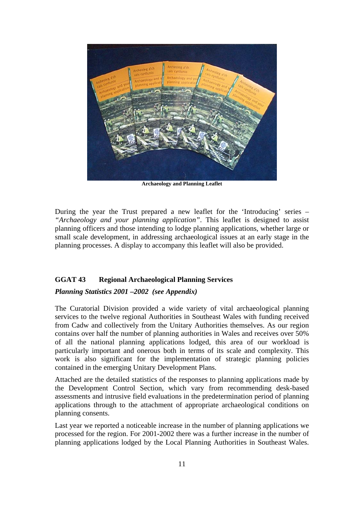

**Archaeology and Planning Leaflet** 

During the year the Trust prepared a new leaflet for the 'Introducing' series – *"Archaeology and your planning application"*. This leaflet is designed to assist planning officers and those intending to lodge planning applications, whether large or small scale development, in addressing archaeological issues at an early stage in the planning processes. A display to accompany this leaflet will also be provided.

## **GGAT 43 Regional Archaeological Planning Services**

#### *Planning Statistics 2001 –2002 (see Appendix)*

The Curatorial Division provided a wide variety of vital archaeological planning services to the twelve regional Authorities in Southeast Wales with funding received from Cadw and collectively from the Unitary Authorities themselves. As our region contains over half the number of planning authorities in Wales and receives over 50% of all the national planning applications lodged, this area of our workload is particularly important and onerous both in terms of its scale and complexity. This work is also significant for the implementation of strategic planning policies contained in the emerging Unitary Development Plans.

Attached are the detailed statistics of the responses to planning applications made by the Development Control Section, which vary from recommending desk-based assessments and intrusive field evaluations in the predetermination period of planning applications through to the attachment of appropriate archaeological conditions on planning consents.

Last year we reported a noticeable increase in the number of planning applications we processed for the region. For 2001-2002 there was a further increase in the number of planning applications lodged by the Local Planning Authorities in Southeast Wales.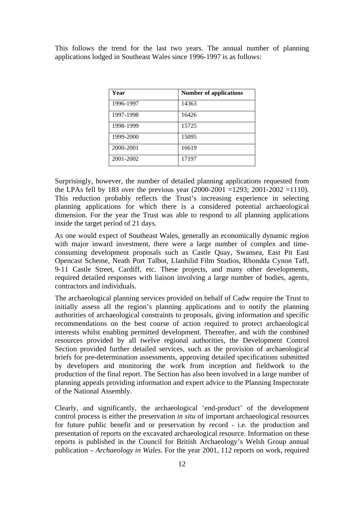This follows the trend for the last two years. The annual number of planning applications lodged in Southeast Wales since 1996-1997 is as follows:

| Year      | <b>Number of applications</b> |
|-----------|-------------------------------|
| 1996-1997 | 14363                         |
| 1997-1998 | 16426                         |
| 1998-1999 | 15725                         |
| 1999-2000 | 15095                         |
| 2000-2001 | 16619                         |
| 2001-2002 | 17197                         |

Surprisingly, however, the number of detailed planning applications requested from the LPAs fell by 183 over the previous year  $(2000-2001 = 1293; 2001-2002 = 1110)$ . This reduction probably reflects the Trust's increasing experience in selecting planning applications for which there is a considered potential archaeological dimension. For the year the Trust was able to respond to all planning applications inside the target period of 21 days.

As one would expect of Southeast Wales, generally an economically dynamic region with major inward investment, there were a large number of complex and timeconsuming development proposals such as Castle Quay, Swansea, East Pit East Opencast Scheme, Neath Port Talbot, Llanhilid Film Studios, Rhondda Cynon Taff, 9-11 Castle Street, Cardiff, etc. These projects, and many other developments, required detailed responses with liaison involving a large number of bodies, agents, contractors and individuals.

The archaeological planning services provided on behalf of Cadw require the Trust to initially assess all the region's planning applications and to notify the planning authorities of archaeological constraints to proposals, giving information and specific recommendations on the best course of action required to protect archaeological interests whilst enabling permitted development. Thereafter, and with the combined resources provided by all twelve regional authorities, the Development Control Section provided further detailed services, such as the provision of archaeological briefs for pre-determination assessments, approving detailed specifications submitted by developers and monitoring the work from inception and fieldwork to the production of the final report. The Section has also been involved in a large number of planning appeals providing information and expert advice to the Planning Inspectorate of the National Assembly.

Clearly, and significantly, the archaeological 'end-product' of the development control process is either the preservation *in situ* of important archaeological resources for future public benefit and or preservation by record - i.e. the production and presentation of reports on the excavated archaeological resource. Information on these reports is published in the Council for British Archaeology's Welsh Group annual publication – *Archaeology in Wales.* For the year 2001, 112 reports on work, required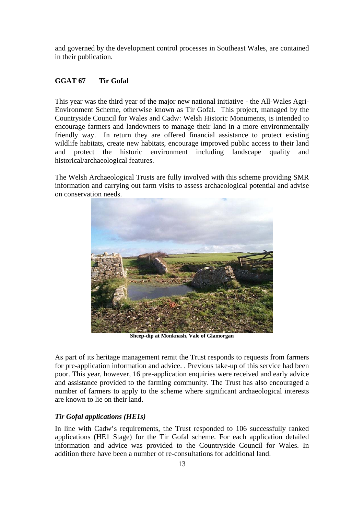and governed by the development control processes in Southeast Wales, are contained in their publication.

#### **GGAT 67 Tir Gofal**

This year was the third year of the major new national initiative - the All-Wales Agri-Environment Scheme, otherwise known as Tir Gofal. This project, managed by the Countryside Council for Wales and Cadw: Welsh Historic Monuments, is intended to encourage farmers and landowners to manage their land in a more environmentally friendly way. In return they are offered financial assistance to protect existing wildlife habitats, create new habitats, encourage improved public access to their land and protect the historic environment including landscape quality and historical/archaeological features.

The Welsh Archaeological Trusts are fully involved with this scheme providing SMR information and carrying out farm visits to assess archaeological potential and advise on conservation needs.



**Sheep-dip at Monknash, Vale of Glamorgan** 

As part of its heritage management remit the Trust responds to requests from farmers for pre-application information and advice. . Previous take-up of this service had been poor. This year, however, 16 pre-application enquiries were received and early advice and assistance provided to the farming community. The Trust has also encouraged a number of farmers to apply to the scheme where significant archaeological interests are known to lie on their land.

#### *Tir Gofal applications (HE1s)*

In line with Cadw's requirements, the Trust responded to 106 successfully ranked applications (HE1 Stage) for the Tir Gofal scheme. For each application detailed information and advice was provided to the Countryside Council for Wales. In addition there have been a number of re-consultations for additional land.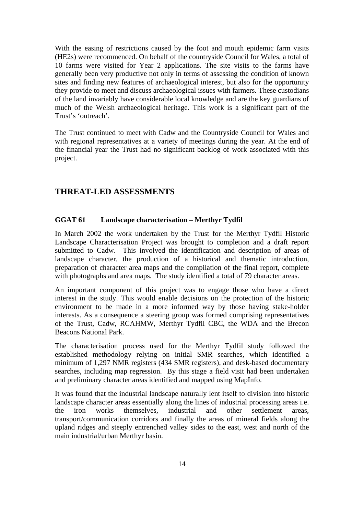With the easing of restrictions caused by the foot and mouth epidemic farm visits (HE2s) were recommenced. On behalf of the countryside Council for Wales, a total of 10 farms were visited for Year 2 applications. The site visits to the farms have generally been very productive not only in terms of assessing the condition of known sites and finding new features of archaeological interest, but also for the opportunity they provide to meet and discuss archaeological issues with farmers. These custodians of the land invariably have considerable local knowledge and are the key guardians of much of the Welsh archaeological heritage. This work is a significant part of the Trust's 'outreach'.

The Trust continued to meet with Cadw and the Countryside Council for Wales and with regional representatives at a variety of meetings during the year. At the end of the financial year the Trust had no significant backlog of work associated with this project.

## **THREAT-LED ASSESSMENTS**

#### **GGAT 61 Landscape characterisation – Merthyr Tydfil**

In March 2002 the work undertaken by the Trust for the Merthyr Tydfil Historic Landscape Characterisation Project was brought to completion and a draft report submitted to Cadw. This involved the identification and description of areas of landscape character, the production of a historical and thematic introduction, preparation of character area maps and the compilation of the final report, complete with photographs and area maps. The study identified a total of 79 character areas.

An important component of this project was to engage those who have a direct interest in the study. This would enable decisions on the protection of the historic environment to be made in a more informed way by those having stake-holder interests. As a consequence a steering group was formed comprising representatives of the Trust, Cadw, RCAHMW, Merthyr Tydfil CBC, the WDA and the Brecon Beacons National Park.

The characterisation process used for the Merthyr Tydfil study followed the established methodology relying on initial SMR searches, which identified a minimum of 1,297 NMR registers (434 SMR registers), and desk-based documentary searches, including map regression. By this stage a field visit had been undertaken and preliminary character areas identified and mapped using MapInfo.

It was found that the industrial landscape naturally lent itself to division into historic landscape character areas essentially along the lines of industrial processing areas i.e. the iron works themselves, industrial and other settlement areas, transport/communication corridors and finally the areas of mineral fields along the upland ridges and steeply entrenched valley sides to the east, west and north of the main industrial/urban Merthyr basin.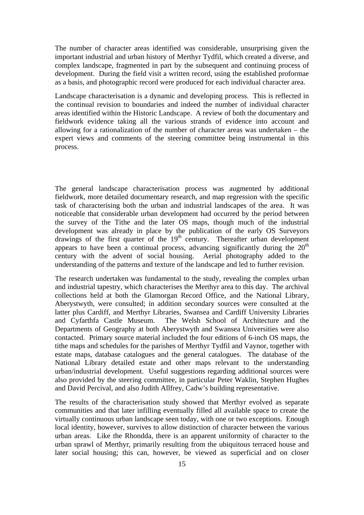The number of character areas identified was considerable, unsurprising given the important industrial and urban history of Merthyr Tydfil, which created a diverse, and complex landscape, fragmented in part by the subsequent and continuing process of development. During the field visit a written record, using the established proformae as a basis, and photographic record were produced for each individual character area.

Landscape characterisation is a dynamic and developing process. This is reflected in the continual revision to boundaries and indeed the number of individual character areas identified within the Historic Landscape. A review of both the documentary and fieldwork evidence taking all the various strands of evidence into account and allowing for a rationalization of the number of character areas was undertaken – the expert views and comments of the steering committee being instrumental in this process.

The general landscape characterisation process was augmented by additional fieldwork, more detailed documentary research, and map regression with the specific task of characterising both the urban and industrial landscapes of the area. It was noticeable that considerable urban development had occurred by the period between the survey of the Tithe and the later OS maps, though much of the industrial development was already in place by the publication of the early OS Surveyors drawings of the first quarter of the  $19<sup>th</sup>$  century. Thereafter urban development appears to have been a continual process, advancing significantly during the  $20<sup>th</sup>$ century with the advent of social housing. Aerial photography added to the understanding of the patterns and texture of the landscape and led to further revision.

The research undertaken was fundamental to the study, revealing the complex urban and industrial tapestry, which characterises the Merthyr area to this day. The archival collections held at both the Glamorgan Record Office, and the National Library, Aberystwyth, were consulted; in addition secondary sources were consulted at the latter plus Cardiff, and Merthyr Libraries, Swansea and Cardiff University Libraries and Cyfarthfa Castle Museum. The Welsh School of Architecture and the Departments of Geography at both Aberystwyth and Swansea Universities were also contacted. Primary source material included the four editions of 6-inch OS maps, the tithe maps and schedules for the parishes of Merthyr Tydfil and Vaynor, together with estate maps, database catalogues and the general catalogues. The database of the National Library detailed estate and other maps relevant to the understanding urban/industrial development. Useful suggestions regarding additional sources were also provided by the steering committee, in particular Peter Waklin, Stephen Hughes and David Percival, and also Judith Allfrey, Cadw's building representative.

The results of the characterisation study showed that Merthyr evolved as separate communities and that later infilling eventually filled all available space to create the virtually continuous urban landscape seen today, with one or two exceptions. Enough local identity, however, survives to allow distinction of character between the various urban areas. Like the Rhondda, there is an apparent uniformity of character to the urban sprawl of Merthyr, primarily resulting from the ubiquitous terraced house and later social housing; this can, however, be viewed as superficial and on closer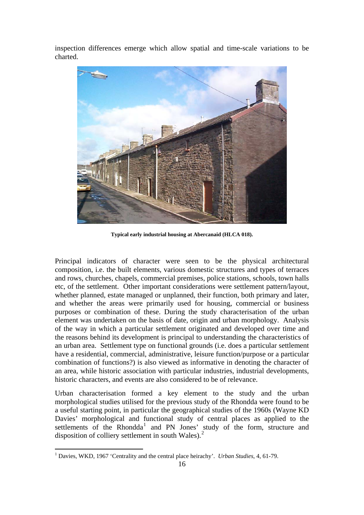inspection differences emerge which allow spatial and time-scale variations to be charted.



**Typical early industrial housing at Abercanaid (HLCA 018).** 

Principal indicators of character were seen to be the physical architectural composition, i.e. the built elements, various domestic structures and types of terraces and rows, churches, chapels, commercial premises, police stations, schools, town halls etc, of the settlement. Other important considerations were settlement pattern/layout, whether planned, estate managed or unplanned, their function, both primary and later, and whether the areas were primarily used for housing, commercial or business purposes or combination of these. During the study characterisation of the urban element was undertaken on the basis of date, origin and urban morphology. Analysis of the way in which a particular settlement originated and developed over time and the reasons behind its development is principal to understanding the characteristics of an urban area. Settlement type on functional grounds (i.e. does a particular settlement have a residential, commercial, administrative, leisure function/purpose or a particular combination of functions?) is also viewed as informative in denoting the character of an area, while historic association with particular industries, industrial developments, historic characters, and events are also considered to be of relevance.

Urban characterisation formed a key element to the study and the urban morphological studies utilised for the previous study of the Rhondda were found to be a useful starting point, in particular the geographical studies of the 1960s (Wayne KD Davies' morphological and functional study of central places as applied to the settlements of the Rhondda<sup>[1](#page-16-0)</sup> and PN Jones' study of the form, structure and disposition of colliery settlement in south Wales). $2$ 

 $\overline{a}$ 

<span id="page-16-1"></span><span id="page-16-0"></span><sup>&</sup>lt;sup>1</sup> Davies, WKD, 1967 'Centrality and the central place heirachy'. *Urban Studies*, 4, 61-79.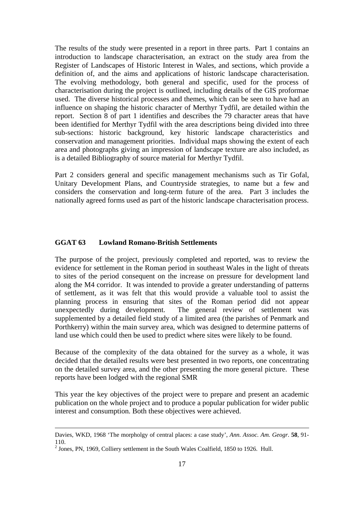The results of the study were presented in a report in three parts. Part 1 contains an introduction to landscape characterisation, an extract on the study area from the Register of Landscapes of Historic Interest in Wales, and sections, which provide a definition of, and the aims and applications of historic landscape characterisation. The evolving methodology, both general and specific, used for the process of characterisation during the project is outlined, including details of the GIS proformae used. The diverse historical processes and themes, which can be seen to have had an influence on shaping the historic character of Merthyr Tydfil, are detailed within the report. Section 8 of part 1 identifies and describes the 79 character areas that have been identified for Merthyr Tydfil with the area descriptions being divided into three sub-sections: historic background, key historic landscape characteristics and conservation and management priorities. Individual maps showing the extent of each area and photographs giving an impression of landscape texture are also included, as is a detailed Bibliography of source material for Merthyr Tydfil.

Part 2 considers general and specific management mechanisms such as Tir Gofal, Unitary Development Plans, and Countryside strategies, to name but a few and considers the conservation and long-term future of the area. Part 3 includes the nationally agreed forms used as part of the historic landscape characterisation process.

#### **GGAT 63 Lowland Romano-British Settlements**

The purpose of the project, previously completed and reported, was to review the evidence for settlement in the Roman period in southeast Wales in the light of threats to sites of the period consequent on the increase on pressure for development land along the M4 corridor. It was intended to provide a greater understanding of patterns of settlement, as it was felt that this would provide a valuable tool to assist the planning process in ensuring that sites of the Roman period did not appear unexpectedly during development. The general review of settlement was supplemented by a detailed field study of a limited area (the parishes of Penmark and Porthkerry) within the main survey area, which was designed to determine patterns of land use which could then be used to predict where sites were likely to be found.

Because of the complexity of the data obtained for the survey as a whole, it was decided that the detailed results were best presented in two reports, one concentrating on the detailed survey area, and the other presenting the more general picture. These reports have been lodged with the regional SMR

This year the key objectives of the project were to prepare and present an academic publication on the whole project and to produce a popular publication for wider public interest and consumption. Both these objectives were achieved.

 $\overline{a}$ 

Davies, WKD, 1968 'The morpholgy of central places: a case study', *Ann. Assoc. Am. Geogr*. **58**, 91- 110.

 $<sup>2</sup>$  Jones, PN, 1969, Colliery settlement in the South Wales Coalfield, 1850 to 1926. Hull.</sup>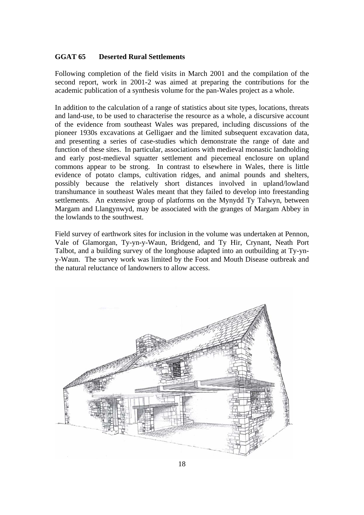## **GGAT 65 Deserted Rural Settlements**

Following completion of the field visits in March 2001 and the compilation of the second report, work in 2001-2 was aimed at preparing the contributions for the academic publication of a synthesis volume for the pan-Wales project as a whole.

In addition to the calculation of a range of statistics about site types, locations, threats and land-use, to be used to characterise the resource as a whole, a discursive account of the evidence from southeast Wales was prepared, including discussions of the pioneer 1930s excavations at Gelligaer and the limited subsequent excavation data, and presenting a series of case-studies which demonstrate the range of date and function of these sites. In particular, associations with medieval monastic landholding and early post-medieval squatter settlement and piecemeal enclosure on upland commons appear to be strong. In contrast to elsewhere in Wales, there is little evidence of potato clamps, cultivation ridges, and animal pounds and shelters, possibly because the relatively short distances involved in upland/lowland transhumance in southeast Wales meant that they failed to develop into freestanding settlements. An extensive group of platforms on the Mynydd Ty Talwyn, between Margam and Llangynwyd, may be associated with the granges of Margam Abbey in the lowlands to the southwest.

Field survey of earthwork sites for inclusion in the volume was undertaken at Pennon, Vale of Glamorgan, Ty-yn-y-Waun, Bridgend, and Ty Hir, Crynant, Neath Port Talbot, and a building survey of the longhouse adapted into an outbuilding at Ty-yny-Waun. The survey work was limited by the Foot and Mouth Disease outbreak and the natural reluctance of landowners to allow access.

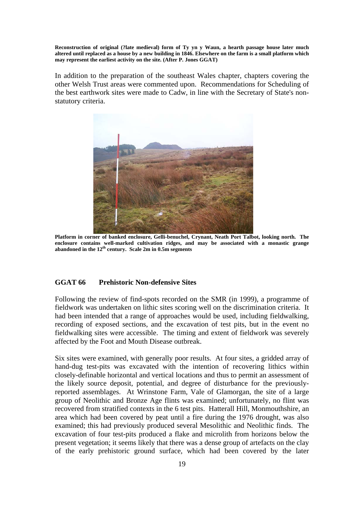**Reconstruction of original (?late medieval) form of Ty yn y Waun, a hearth passage house later much altered until replaced as a house by a new building in 1846. Elsewhere on the farm is a small platform which may represent the earliest activity on the site. (After P. Jones GGAT)** 

In addition to the preparation of the southeast Wales chapter, chapters covering the other Welsh Trust areas were commented upon. Recommendations for Scheduling of the best earthwork sites were made to Cadw, in line with the Secretary of State's nonstatutory criteria.



**Platform in corner of banked enclosure, Gelli-benuchel, Crynant, Neath Port Talbot, looking north. The enclosure contains well-marked cultivation ridges, and may be associated with a monastic grange abandoned in the 12th century. Scale 2m in 0.5m segments** 

#### **GGAT 66 Prehistoric Non-defensive Sites**

Following the review of find-spots recorded on the SMR (in 1999), a programme of fieldwork was undertaken on lithic sites scoring well on the discrimination criteria. It had been intended that a range of approaches would be used, including fieldwalking, recording of exposed sections, and the excavation of test pits, but in the event no fieldwalking sites were accessible. The timing and extent of fieldwork was severely affected by the Foot and Mouth Disease outbreak.

Six sites were examined, with generally poor results. At four sites, a gridded array of hand-dug test-pits was excavated with the intention of recovering lithics within closely-definable horizontal and vertical locations and thus to permit an assessment of the likely source deposit, potential, and degree of disturbance for the previouslyreported assemblages. At Wrinstone Farm, Vale of Glamorgan, the site of a large group of Neolithic and Bronze Age flints was examined; unfortunately, no flint was recovered from stratified contexts in the 6 test pits. Hatterall Hill, Monmouthshire, an area which had been covered by peat until a fire during the 1976 drought, was also examined; this had previously produced several Mesolithic and Neolithic finds. The excavation of four test-pits produced a flake and microlith from horizons below the present vegetation; it seems likely that there was a dense group of artefacts on the clay of the early prehistoric ground surface, which had been covered by the later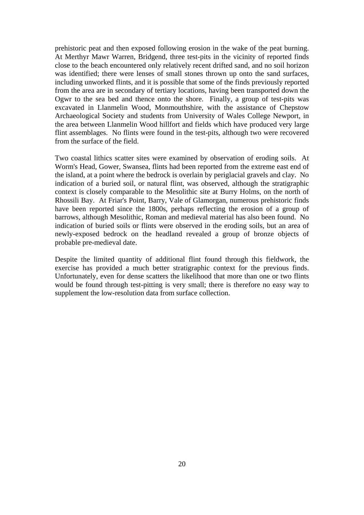prehistoric peat and then exposed following erosion in the wake of the peat burning. At Merthyr Mawr Warren, Bridgend, three test-pits in the vicinity of reported finds close to the beach encountered only relatively recent drifted sand, and no soil horizon was identified; there were lenses of small stones thrown up onto the sand surfaces, including unworked flints, and it is possible that some of the finds previously reported from the area are in secondary of tertiary locations, having been transported down the Ogwr to the sea bed and thence onto the shore. Finally, a group of test-pits was excavated in Llanmelin Wood, Monmouthshire, with the assistance of Chepstow Archaeological Society and students from University of Wales College Newport, in the area between Llanmelin Wood hillfort and fields which have produced very large flint assemblages. No flints were found in the test-pits, although two were recovered from the surface of the field.

Two coastal lithics scatter sites were examined by observation of eroding soils. At Worm's Head, Gower, Swansea, flints had been reported from the extreme east end of the island, at a point where the bedrock is overlain by periglacial gravels and clay. No indication of a buried soil, or natural flint, was observed, although the stratigraphic context is closely comparable to the Mesolithic site at Burry Holms, on the north of Rhossili Bay. At Friar's Point, Barry, Vale of Glamorgan, numerous prehistoric finds have been reported since the 1800s, perhaps reflecting the erosion of a group of barrows, although Mesolithic, Roman and medieval material has also been found. No indication of buried soils or flints were observed in the eroding soils, but an area of newly-exposed bedrock on the headland revealed a group of bronze objects of probable pre-medieval date.

Despite the limited quantity of additional flint found through this fieldwork, the exercise has provided a much better stratigraphic context for the previous finds. Unfortunately, even for dense scatters the likelihood that more than one or two flints would be found through test-pitting is very small; there is therefore no easy way to supplement the low-resolution data from surface collection.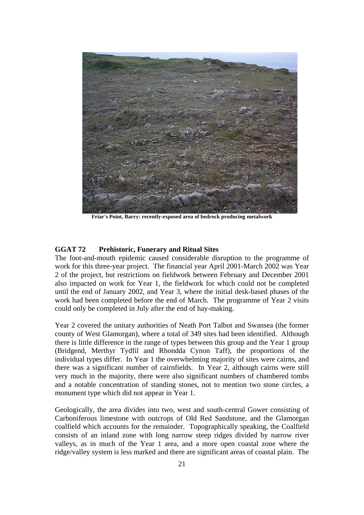

**Friar's Point, Barry: recently-exposed area of bedrock producing metalwork** 

#### **GGAT 72 Prehistoric, Funerary and Ritual Sites**

The foot-and-mouth epidemic caused considerable disruption to the programme of work for this three-year project. The financial year April 2001-March 2002 was Year 2 of the project, but restrictions on fieldwork between February and December 2001 also impacted on work for Year 1, the fieldwork for which could not be completed until the end of January 2002, and Year 3, where the initial desk-based phases of the work had been completed before the end of March. The programme of Year 2 visits could only be completed in July after the end of hay-making.

Year 2 covered the unitary authorities of Neath Port Talbot and Swansea (the former county of West Glamorgan), where a total of 349 sites had been identified. Although there is little difference in the range of types between this group and the Year 1 group (Bridgend, Merthyr Tydfil and Rhondda Cynon Taff), the proportions of the individual types differ. In Year 1 the overwhelming majority of sites were cairns, and there was a significant number of cairnfields. In Year 2, although cairns were still very much in the majority, there were also significant numbers of chambered tombs and a notable concentration of standing stones, not to mention two stone circles, a monument type which did not appear in Year 1.

Geologically, the area divides into two, west and south-central Gower consisting of Carboniferous limestone with outcrops of Old Red Sandstone, and the Glamorgan coalfield which accounts for the remainder. Topographically speaking, the Coalfield consists of an inland zone with long narrow steep ridges divided by narrow river valleys, as in much of the Year 1 area, and a more open coastal zone where the ridge/valley system is less marked and there are significant areas of coastal plain. The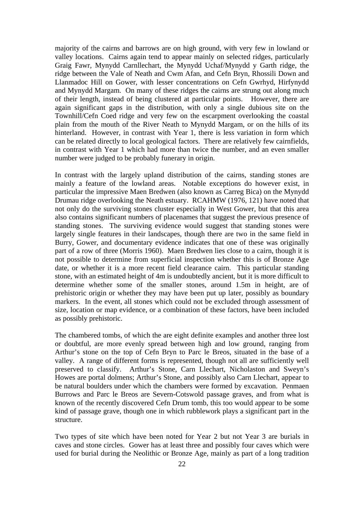majority of the cairns and barrows are on high ground, with very few in lowland or valley locations. Cairns again tend to appear mainly on selected ridges, particularly Graig Fawr, Mynydd Carnllechart, the Mynydd Uchaf/Mynydd y Garth ridge, the ridge between the Vale of Neath and Cwm Afan, and Cefn Bryn, Rhossili Down and Llanmadoc Hill on Gower, with lesser concentrations on Cefn Gwrhyd, Hirfynydd and Mynydd Margam. On many of these ridges the cairns are strung out along much of their length, instead of being clustered at particular points. However, there are again significant gaps in the distribution, with only a single dubious site on the Townhill/Cefn Coed ridge and very few on the escarpment overlooking the coastal plain from the mouth of the River Neath to Mynydd Margam, or on the hills of its hinterland. However, in contrast with Year 1, there is less variation in form which can be related directly to local geological factors. There are relatively few cairnfields, in contrast with Year 1 which had more than twice the number, and an even smaller number were judged to be probably funerary in origin.

In contrast with the largely upland distribution of the cairns, standing stones are mainly a feature of the lowland areas. Notable exceptions do however exist, in particular the impressive Maen Bredwen (also known as Carreg Bica) on the Mynydd Drumau ridge overlooking the Neath estuary. RCAHMW (1976, 121) have noted that not only do the surviving stones cluster especially in West Gower, but that this area also contains significant numbers of placenames that suggest the previous presence of standing stones. The surviving evidence would suggest that standing stones were largely single features in their landscapes, though there are two in the same field in Burry, Gower, and documentary evidence indicates that one of these was originally part of a row of three (Morris 1960). Maen Bredwen lies close to a cairn, though it is not possible to determine from superficial inspection whether this is of Bronze Age date, or whether it is a more recent field clearance cairn. This particular standing stone, with an estimated height of 4m is undoubtedly ancient, but it is more difficult to determine whether some of the smaller stones, around 1.5m in height, are of prehistoric origin or whether they may have been put up later, possibly as boundary markers. In the event, all stones which could not be excluded through assessment of size, location or map evidence, or a combination of these factors, have been included as possibly prehistoric.

The chambered tombs, of which the are eight definite examples and another three lost or doubtful, are more evenly spread between high and low ground, ranging from Arthur's stone on the top of Cefn Bryn to Parc le Breos, situated in the base of a valley. A range of different forms is represented, though not all are sufficiently well preserved to classify. Arthur's Stone, Carn Llechart, Nicholaston and Sweyn's Howes are portal dolmens; Arthur's Stone, and possibly also Carn Llechart, appear to be natural boulders under which the chambers were formed by excavation. Penmaen Burrows and Parc le Breos are Severn-Cotswold passage graves, and from what is known of the recently discovered Cefn Drum tomb, this too would appear to be some kind of passage grave, though one in which rubblework plays a significant part in the structure.

Two types of site which have been noted for Year 2 but not Year 3 are burials in caves and stone circles. Gower has at least three and possibly four caves which were used for burial during the Neolithic or Bronze Age, mainly as part of a long tradition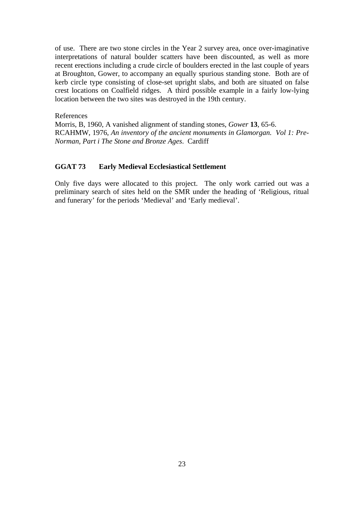of use. There are two stone circles in the Year 2 survey area, once over-imaginative interpretations of natural boulder scatters have been discounted, as well as more recent erections including a crude circle of boulders erected in the last couple of years at Broughton, Gower, to accompany an equally spurious standing stone. Both are of kerb circle type consisting of close-set upright slabs, and both are situated on false crest locations on Coalfield ridges. A third possible example in a fairly low-lying location between the two sites was destroyed in the 19th century.

References Morris, B, 1960, A vanished alignment of standing stones, *Gower* **13**, 65-6. RCAHMW, 1976, *An inventory of the ancient monuments in Glamorgan. Vol 1: Pre-Norman, Part i The Stone and Bronze Ages*. Cardiff

#### **GGAT 73 Early Medieval Ecclesiastical Settlement**

Only five days were allocated to this project. The only work carried out was a preliminary search of sites held on the SMR under the heading of 'Religious, ritual and funerary' for the periods 'Medieval' and 'Early medieval'.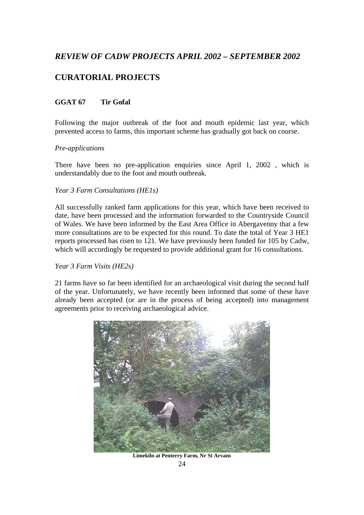# *REVIEW OF CADW PROJECTS APRIL 2002 – SEPTEMBER 2002*

# **CURATORIAL PROJECTS**

## **GGAT 67 Tir Gofal**

Following the major outbreak of the foot and mouth epidemic last year, which prevented access to farms, this important scheme has gradually got back on course.

## *Pre-applications*

There have been no pre-application enquiries since April 1, 2002 , which is understandably due to the foot and mouth outbreak.

## *Year 3 Farm Consultations (HE1s)*

All successfully ranked farm applications for this year, which have been received to date, have been processed and the information forwarded to the Countryside Council of Wales. We have been informed by the East Area Office in Abergavenny that a few more consultations are to be expected for this round. To date the total of Year 3 HE1 reports processed has risen to 121. We have previously been funded for 105 by Cadw, which will accordingly be requested to provide additional grant for 16 consultations.

## *Year 3 Farm Visits (HE2s)*

21 farms have so far been identified for an archaeological visit during the second half of the year. Unfortunately, we have recently been informed that some of these have already been accepted (or are in the process of being accepted) into management agreements prior to receiving archaeological advice.



**Limekiln at Penterry Farm, Nr St Arvans**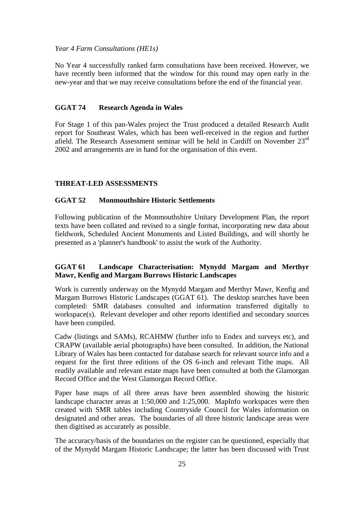#### *Year 4 Farm Consultations (HE1s)*

No Year 4 successfully ranked farm consultations have been received. However, we have recently been informed that the window for this round may open early in the new-year and that we may receive consultations before the end of the financial year.

#### **GGAT 74 Research Agenda in Wales**

For Stage 1 of this pan-Wales project the Trust produced a detailed Research Audit report for Southeast Wales, which has been well-received in the region and further afield. The Research Assessment seminar will be held in Cardiff on November 23rd 2002 and arrangements are in hand for the organisation of this event.

#### **THREAT-LED ASSESSMENTS**

#### **GGAT 52 Monmouthshire Historic Settlements**

Following publication of the Monmouthshire Unitary Development Plan, the report texts have been collated and revised to a single format, incorporating new data about fieldwork, Scheduled Ancient Monuments and Listed Buildings, and will shortly be presented as a 'planner's handbook' to assist the work of the Authority.

## **GGAT 61 Landscape Characterisation: Mynydd Margam and Merthyr Mawr, Kenfig and Margam Burrows Historic Landscapes**

Work is currently underway on the Mynydd Margam and Merthyr Mawr, Kenfig and Margam Burrows Historic Landscapes (GGAT 61). The desktop searches have been completed: SMR databases consulted and information transferred digitally to workspace(s). Relevant developer and other reports identified and secondary sources have been compiled.

Cadw (listings and SAMs), RCAHMW (further info to Endex and surveys etc), and CRAPW (available aerial photographs) have been consulted. In addition, the National Library of Wales has been contacted for database search for relevant source info and a request for the first three editions of the OS 6-inch and relevant Tithe maps. All readily available and relevant estate maps have been consulted at both the Glamorgan Record Office and the West Glamorgan Record Office.

Paper base maps of all three areas have been assembled showing the historic landscape character areas at 1:50,000 and 1:25,000. MapInfo workspaces were then created with SMR tables including Countryside Council for Wales information on designated and other areas. The boundaries of all three historic landscape areas were then digitised as accurately as possible.

The accuracy/basis of the boundaries on the register can be questioned, especially that of the Mynydd Margam Historic Landscape; the latter has been discussed with Trust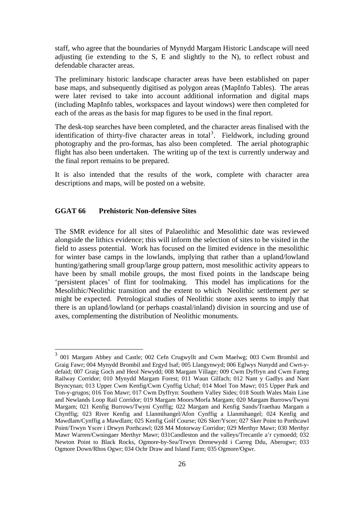staff, who agree that the boundaries of Mynydd Margam Historic Landscape will need adjusting (ie extending to the S, E and slightly to the N), to reflect robust and defendable character areas.

The preliminary historic landscape character areas have been established on paper base maps, and subsequently digitised as polygon areas (MapInfo Tables). The areas were later revised to take into account additional information and digital maps (including MapInfo tables, workspaces and layout windows) were then completed for each of the areas as the basis for map figures to be used in the final report.

The desk-top searches have been completed, and the character areas finalised with the identification of thirty-five character areas in total<sup>[3](#page-26-0)</sup>. Fieldwork, including ground photography and the pro-formas, has also been completed. The aerial photographic flight has also been undertaken. The writing up of the text is currently underway and the final report remains to be prepared.

It is also intended that the results of the work, complete with character area descriptions and maps, will be posted on a website.

#### **GGAT 66 Prehistoric Non-defensive Sites**

 $\overline{a}$ 

The SMR evidence for all sites of Palaeolithic and Mesolithic date was reviewed alongside the lithics evidence; this will inform the selection of sites to be visited in the field to assess potential. Work has focused on the limited evidence in the mesolithic for winter base camps in the lowlands, implying that rather than a upland/lowland hunting/gathering small group/large group pattern, most mesolithic activity appears to have been by small mobile groups, the most fixed points in the landscape being 'persistent places' of flint for toolmaking. This model has implications for the Mesolithic/Neolithic transition and the extent to which Neolithic settlement *per se* might be expected*.* Petrological studies of Neolithic stone axes seems to imply that there is an upland/lowland (or perhaps coastal/inland) division in sourcing and use of axes, complementing the distribution of Neolithic monuments.

<span id="page-26-0"></span><sup>&</sup>lt;sup>3</sup> 001 Margam Abbey and Castle; 002 Cefn Crugwyllt and Cwm Maelwg; 003 Cwm Brombil and Graig Fawr; 004 Mynydd Brombil and Ergyd Isaf; 005 Llangynwyd; 006 Eglwys Nunydd and Cwrt-ydefaid; 007 Graig Goch and Heol Newydd; 008 Margam Village; 009 Cwm Dyffryn and Cwm Farteg Railway Corridor; 010 Mynydd Margam Forest; 011 Waun Gilfach; 012 Nant y Gadlys and Nant Bryncynan; 013 Upper Cwm Kenfig/Cwm Cynffig Uchaf; 014 Moel Ton Mawr; 015 Upper Park and Ton-y-grugos; 016 Ton Mawr; 017 Cwm Dyffryn: Southern Valley Sides; 018 South Wales Main Line and Newlands Loop Rail Corridor; 019 Margam Moors/Morfa Margam; 020 Margam Burrows/Twyni Margam; 021 Kenfig Burrows/Twyni Cynffig; 022 Margam and Kenfig Sands/Traethau Margam a Chynffig; 023 River Kenfig and Llanmihangel/Afon Cynffig a Llanmihangel; 024 Kenfig and Mawdlam/Cynffig a Mawdlam; 025 Kenfig Golf Course; 026 Sker/Yscer; 027 Sker Point to Porthcawl Point/Trwyn Yscer i Drwyn Porthcawl; 028 M4 Motorway Corridor; 029 Merthyr Mawr; 030 Merthyr Mawr Warren/Cwningaer Merthyr Mawr; 031Candleston and the valleys/Trecantle a'r cymoedd; 032 Newton Point to Black Rocks, Ogmore-by-Sea/Trwyn Drenewydd i Carreg Ddu, Aberogwr; 033 Ogmore Down/Rhos Ogwr; 034 Ochr Draw and Island Farm; 035 Ogmore/Ogwr.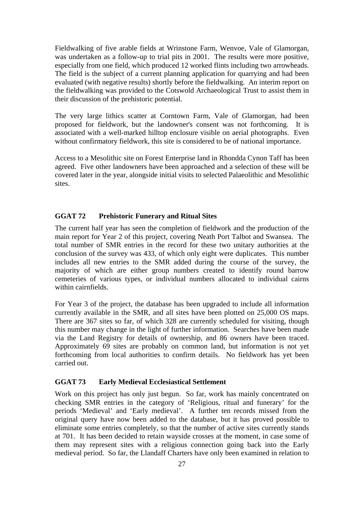Fieldwalking of five arable fields at Wrinstone Farm, Wenvoe, Vale of Glamorgan, was undertaken as a follow-up to trial pits in 2001. The results were more positive, especially from one field, which produced 12 worked flints including two arrowheads. The field is the subject of a current planning application for quarrying and had been evaluated (with negative results) shortly before the fieldwalking. An interim report on the fieldwalking was provided to the Cotswold Archaeological Trust to assist them in their discussion of the prehistoric potential.

The very large lithics scatter at Corntown Farm, Vale of Glamorgan, had been proposed for fieldwork, but the landowner's consent was not forthcoming. It is associated with a well-marked hilltop enclosure visible on aerial photographs. Even without confirmatory fieldwork, this site is considered to be of national importance.

Access to a Mesolithic site on Forest Enterprise land in Rhondda Cynon Taff has been agreed. Five other landowners have been approached and a selection of these will be covered later in the year, alongside initial visits to selected Palaeolithic and Mesolithic sites.

#### **GGAT 72 Prehistoric Funerary and Ritual Sites**

The current half year has seen the completion of fieldwork and the production of the main report for Year 2 of this project, covering Neath Port Talbot and Swansea. The total number of SMR entries in the record for these two unitary authorities at the conclusion of the survey was 433, of which only eight were duplicates. This number includes all new entries to the SMR added during the course of the survey, the majority of which are either group numbers created to identify round barrow cemeteries of various types, or individual numbers allocated to individual cairns within cairnfields.

For Year 3 of the project, the database has been upgraded to include all information currently available in the SMR, and all sites have been plotted on 25,000 OS maps. There are 367 sites so far, of which 328 are currently scheduled for visiting, though this number may change in the light of further information. Searches have been made via the Land Registry for details of ownership, and 86 owners have been traced. Approximately 69 sites are probably on common land, but information is not yet forthcoming from local authorities to confirm details. No fieldwork has yet been carried out.

#### **GGAT 73 Early Medieval Ecclesiastical Settlement**

Work on this project has only just begun. So far, work has mainly concentrated on checking SMR entries in the category of 'Religious, ritual and funerary' for the periods 'Medieval' and 'Early medieval'. A further ten records missed from the original query have now been added to the database, but it has proved possible to eliminate some entries completely, so that the number of active sites currently stands at 701. It has been decided to retain wayside crosses at the moment, in case some of them may represent sites with a religious connection going back into the Early medieval period. So far, the Llandaff Charters have only been examined in relation to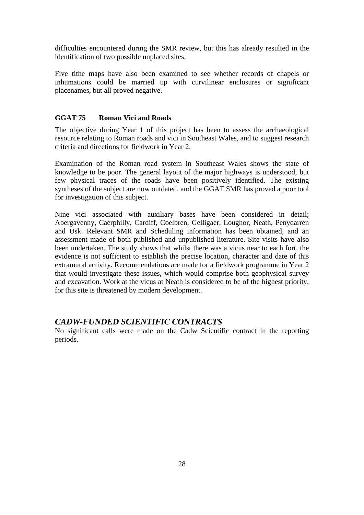difficulties encountered during the SMR review, but this has already resulted in the identification of two possible unplaced sites.

Five tithe maps have also been examined to see whether records of chapels or inhumations could be married up with curvilinear enclosures or significant placenames, but all proved negative.

#### **GGAT 75 Roman Vici and Roads**

The objective during Year 1 of this project has been to assess the archaeological resource relating to Roman roads and vici in Southeast Wales, and to suggest research criteria and directions for fieldwork in Year 2.

Examination of the Roman road system in Southeast Wales shows the state of knowledge to be poor. The general layout of the major highways is understood, but few physical traces of the roads have been positively identified. The existing syntheses of the subject are now outdated, and the GGAT SMR has proved a poor tool for investigation of this subject.

Nine vici associated with auxiliary bases have been considered in detail; Abergavenny, Caerphilly, Cardiff, Coelbren, Gelligaer, Loughor, Neath, Penydarren and Usk. Relevant SMR and Scheduling information has been obtained, and an assessment made of both published and unpublished literature. Site visits have also been undertaken. The study shows that whilst there was a vicus near to each fort, the evidence is not sufficient to establish the precise location, character and date of this extramural activity. Recommendations are made for a fieldwork programme in Year 2 that would investigate these issues, which would comprise both geophysical survey and excavation. Work at the vicus at Neath is considered to be of the highest priority, for this site is threatened by modern development.

## *CADW-FUNDED SCIENTIFIC CONTRACTS*

No significant calls were made on the Cadw Scientific contract in the reporting periods.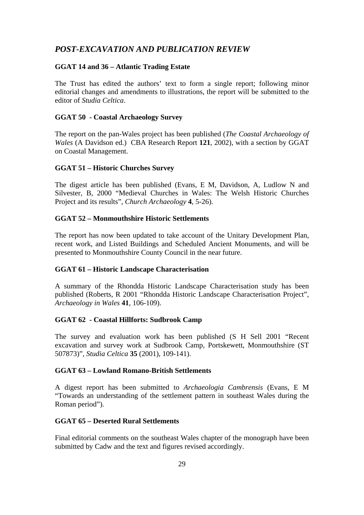## *POST-EXCAVATION AND PUBLICATION REVIEW*

## **GGAT 14 and 36 – Atlantic Trading Estate**

The Trust has edited the authors' text to form a single report; following minor editorial changes and amendments to illustrations, the report will be submitted to the editor of *Studia Celtica*.

## **GGAT 50 - Coastal Archaeology Survey**

The report on the pan-Wales project has been published (*The Coastal Archaeology of Wales* (A Davidson ed.) CBA Research Report **121**, 2002), with a section by GGAT on Coastal Management.

## **GGAT 51 – Historic Churches Survey**

The digest article has been published (Evans, E M, Davidson, A, Ludlow N and Silvester, B, 2000 "Medieval Churches in Wales: The Welsh Historic Churches Project and its results", *Church Archaeology* **4**, 5-26).

## **GGAT 52 – Monmouthshire Historic Settlements**

The report has now been updated to take account of the Unitary Development Plan, recent work, and Listed Buildings and Scheduled Ancient Monuments, and will be presented to Monmouthshire County Council in the near future.

## **GGAT 61 – Historic Landscape Characterisation**

A summary of the Rhondda Historic Landscape Characterisation study has been published (Roberts, R 2001 "Rhondda Historic Landscape Characterisation Project", *Archaeology in Wales* **41**, 106-109).

## **GGAT 62 - Coastal Hillforts: Sudbrook Camp**

The survey and evaluation work has been published (S H Sell 2001 "Recent excavation and survey work at Sudbrook Camp, Portskewett, Monmouthshire (ST 507873)", *Studia Celtica* **35** (2001), 109-141).

## **GGAT 63 – Lowland Romano-British Settlements**

A digest report has been submitted to *Archaeologia Cambrensis* (Evans, E M "Towards an understanding of the settlement pattern in southeast Wales during the Roman period").

## **GGAT 65 – Deserted Rural Settlements**

Final editorial comments on the southeast Wales chapter of the monograph have been submitted by Cadw and the text and figures revised accordingly.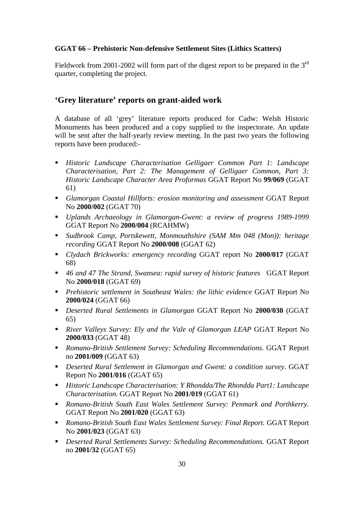## **GGAT 66 – Prehistoric Non-defensive Settlement Sites (Lithics Scatters)**

Fieldwork from 2001-2002 will form part of the digest report to be prepared in the  $3<sup>rd</sup>$ quarter, completing the project.

## **'Grey literature' reports on grant-aided work**

A database of all 'grey' literature reports produced for Cadw: Welsh Historic Monuments has been produced and a copy supplied to the inspectorate. An update will be sent after the half-yearly review meeting. In the past two years the following reports have been produced:-

- *Historic Landscape Characterisation Gelligaer Common Part 1: Landscape Characterisation, Part 2: The Management of Gelligaer Common, Part 3: Historic Landscape Character Area Proformas* GGAT Report No **99/069** (GGAT 61)
- *Glamorgan Coastal Hillforts: erosion monitoring and assessment* GGAT Report No **2000/002** (GGAT 70)
- *Uplands Archaeology in Glamorgan-Gwent: a review of progress 1989-1999* GGAT Report No **2000/004** (RCAHMW)
- *Sudbrook Camp, Portskewett, Monmouthshire (SAM Mm 048 (Mon)): heritage recording* GGAT Report No **2000/008** (GGAT 62)
- *Clydach Brickworks: emergency recording* GGAT report No **2000/017** (GGAT 68)
- *46 and 47 The Strand, Swansea: rapid survey of historic features* GGAT Report No **2000/018** (GGAT 69)
- *Prehistoric settlement in Southeast Wales: the lithic evidence* GGAT Report No **2000/024** (GGAT 66)
- *Deserted Rural Settlements in Glamorgan* GGAT Report No **2000/030** (GGAT 65)
- **River Valleys Survey: Ely and the Vale of Glamorgan LEAP GGAT Report No 2000/033** (GGAT 48)
- *Romano-British Settlement Survey: Scheduling Recommendations.* GGAT Report no **2001/009** (GGAT 63)
- *Deserted Rural Settlement in Glamorgan and Gwent: a condition survey.* GGAT Report No **2001/016** (GGAT 65)
- *Historic Landscape Characterisation: Y Rhondda/The Rhondda Part1: Landscape Characterisation.* GGAT Report No **2001/019** (GGAT 61)
- *Romano-British South East Wales Settlement Survey: Penmark and Porthkerry.*  GGAT Report No **2001/020** (GGAT 63)
- **Romano-British South East Wales Settlement Survey: Final Report. GGAT Report** No **2001/023** (GGAT 63)
- *Deserted Rural Settlements Survey: Scheduling Recommendations.* GGAT Report no **2001/32** (GGAT 65)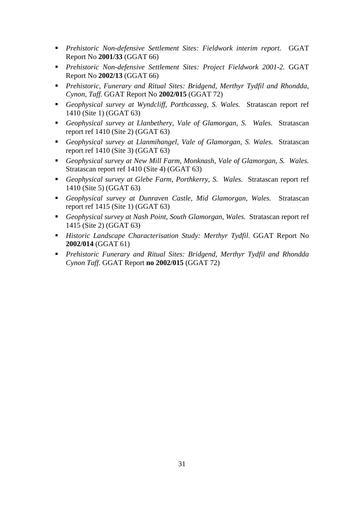- *Prehistoric Non-defensive Settlement Sites: Fieldwork interim report.* GGAT Report No **2001/33** (GGAT 66)
- *Prehistoric Non-defensive Settlement Sites: Project Fieldwork 2001-2.* GGAT Report No **2002/13** (GGAT 66)
- *Prehistoric, Funerary and Ritual Sites: Bridgend, Merthyr Tydfil and Rhondda, Cynon, Taff.* GGAT Report No **2002/015** (GGAT 72)
- *Geophysical survey at Wyndcliff, Porthcasseg, S. Wales.* Stratascan report ref 1410 (Site 1) (GGAT 63)
- *Geophysical survey at Llanbethery, Vale of Glamorgan, S. Wales.* Stratascan report ref 1410 (Site 2) (GGAT 63)
- *Geophysical survey at Llanmihangel, Vale of Glamorgan, S. Wales.* Stratascan report ref 1410 (Site 3) (GGAT 63)
- *Geophysical survey at New Mill Farm, Monknash, Vale of Glamorgan, S. Wales.*  Stratascan report ref 1410 (Site 4) (GGAT 63)
- *Geophysical survey at Glebe Farm, Porthkerry, S. Wales.* Stratascan report ref 1410 (Site 5) (GGAT 63)
- *Geophysical survey at Dunraven Castle, Mid Glamorgan, Wales.* Stratascan report ref 1415 (Site 1) (GGAT 63)
- *Geophysical survey at Nash Point, South Glamorgan, Wales.* Stratascan report ref 1415 (Site 2) (GGAT 63)
- *Historic Landscape Characterisation Study: Merthyr Tydfil*. GGAT Report No **2002/014** (GGAT 61)
- *Prehistoric Funerary and Ritual Sites: Bridgend, Merthyr Tydfil and Rhondda Cynon Taff.* GGAT Report **no 2002/015** (GGAT 72)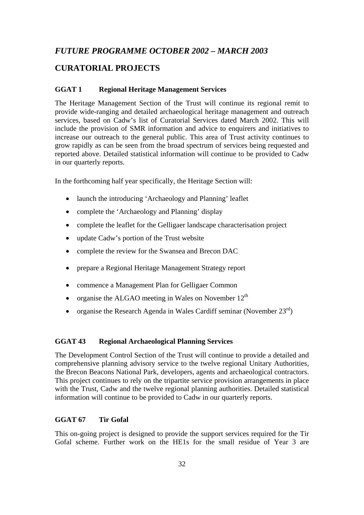## *FUTURE PROGRAMME OCTOBER 2002 – MARCH 2003*

## **CURATORIAL PROJECTS**

## **GGAT 1 Regional Heritage Management Services**

The Heritage Management Section of the Trust will continue its regional remit to provide wide-ranging and detailed archaeological heritage management and outreach services, based on Cadw's list of Curatorial Services dated March 2002. This will include the provision of SMR information and advice to enquirers and initiatives to increase our outreach to the general public. This area of Trust activity continues to grow rapidly as can be seen from the broad spectrum of services being requested and reported above. Detailed statistical information will continue to be provided to Cadw in our quarterly reports.

In the forthcoming half year specifically, the Heritage Section will:

- launch the introducing 'Archaeology and Planning' leaflet
- complete the 'Archaeology and Planning' display
- complete the leaflet for the Gelligaer landscape characterisation project
- update Cadw's portion of the Trust website
- complete the review for the Swansea and Brecon DAC
- prepare a Regional Heritage Management Strategy report
- commence a Management Plan for Gelligaer Common
- organise the ALGAO meeting in Wales on November  $12<sup>th</sup>$
- organise the Research Agenda in Wales Cardiff seminar (November  $23<sup>rd</sup>$ )

#### **GGAT 43 Regional Archaeological Planning Services**

The Development Control Section of the Trust will continue to provide a detailed and comprehensive planning advisory service to the twelve regional Unitary Authorities, the Brecon Beacons National Park, developers, agents and archaeological contractors. This project continues to rely on the tripartite service provision arrangements in place with the Trust, Cadw and the twelve regional planning authorities. Detailed statistical information will continue to be provided to Cadw in our quarterly reports.

#### **GGAT 67 Tir Gofal**

This on-going project is designed to provide the support services required for the Tir Gofal scheme. Further work on the HE1s for the small residue of Year 3 are